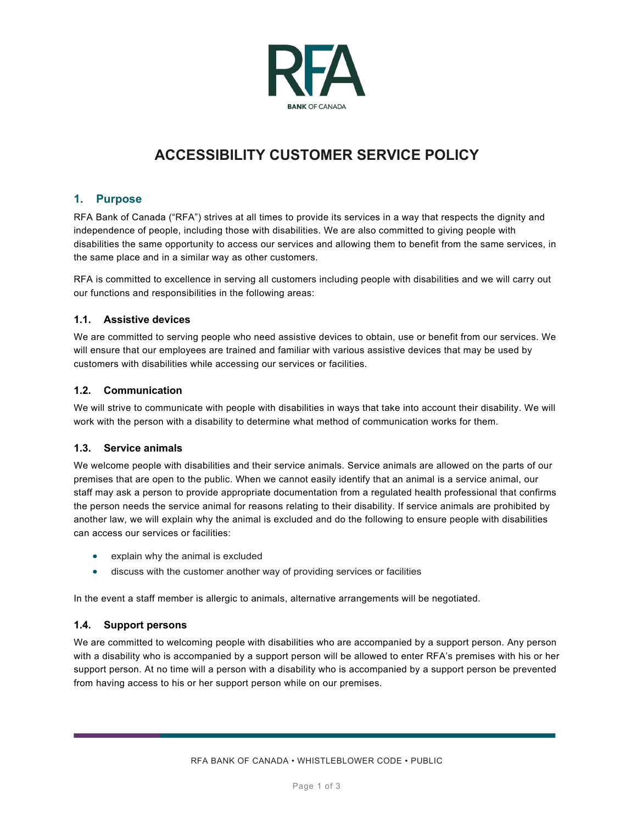

# **ACCESSIBILITY CUSTOMER SERVICE POLICY**

# **1. Purpose**

RFA Bank of Canada ("RFA") strives at all times to provide its services in a way that respects the dignity and independence of people, including those with disabilities. We are also committed to giving people with disabilities the same opportunity to access our services and allowing them to benefit from the same services, in the same place and in a similar way as other customers.

RFA is committed to excellence in serving all customers including people with disabilities and we will carry out our functions and responsibilities in the following areas:

## **1.1. Assistive devices**

We are committed to serving people who need assistive devices to obtain, use or benefit from our services. We will ensure that our employees are trained and familiar with various assistive devices that may be used by customers with disabilities while accessing our services or facilities.

## **1.2. Communication**

We will strive to communicate with people with disabilities in ways that take into account their disability. We will work with the person with a disability to determine what method of communication works for them.

# **1.3. Service animals**

We welcome people with disabilities and their service animals. Service animals are allowed on the parts of our premises that are open to the public. When we cannot easily identify that an animal is a service animal, our staff may ask a person to provide appropriate documentation from a regulated health professional that confirms the person needs the service animal for reasons relating to their disability. If service animals are prohibited by another law, we will explain why the animal is excluded and do the following to ensure people with disabilities can access our services or facilities:

- explain why the animal is excluded
- discuss with the customer another way of providing services or facilities

In the event a staff member is allergic to animals, alternative arrangements will be negotiated.

# **1.4. Support persons**

We are committed to welcoming people with disabilities who are accompanied by a support person. Any person with a disability who is accompanied by a support person will be allowed to enter RFA's premises with his or her support person. At no time will a person with a disability who is accompanied by a support person be prevented from having access to his or her support person while on our premises.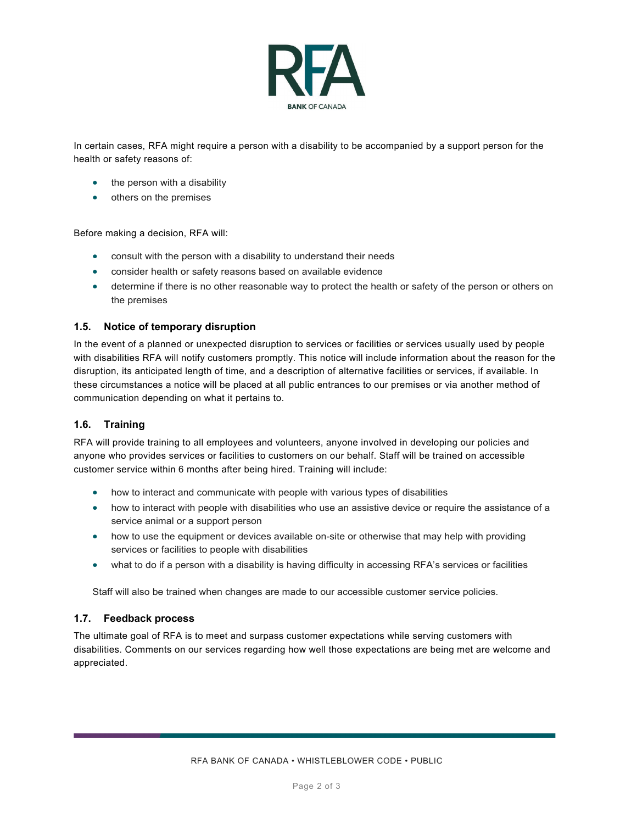

In certain cases, RFA might require a person with a disability to be accompanied by a support person for the health or safety reasons of:

- the person with a disability
- others on the premises

Before making a decision, RFA will:

- consult with the person with a disability to understand their needs
- consider health or safety reasons based on available evidence
- determine if there is no other reasonable way to protect the health or safety of the person or others on the premises

#### **1.5. Notice of temporary disruption**

In the event of a planned or unexpected disruption to services or facilities or services usually used by people with disabilities RFA will notify customers promptly. This notice will include information about the reason for the disruption, its anticipated length of time, and a description of alternative facilities or services, if available. In these circumstances a notice will be placed at all public entrances to our premises or via another method of communication depending on what it pertains to.

#### **1.6. Training**

RFA will provide training to all employees and volunteers, anyone involved in developing our policies and anyone who provides services or facilities to customers on our behalf. Staff will be trained on accessible customer service within 6 months after being hired. Training will include:

- how to interact and communicate with people with various types of disabilities
- how to interact with people with disabilities who use an assistive device or require the assistance of a service animal or a support person
- how to use the equipment or devices available on-site or otherwise that may help with providing services or facilities to people with disabilities
- what to do if a person with a disability is having difficulty in accessing RFA's services or facilities

Staff will also be trained when changes are made to our accessible customer service policies.

#### **1.7. Feedback process**

The ultimate goal of RFA is to meet and surpass customer expectations while serving customers with disabilities. Comments on our services regarding how well those expectations are being met are welcome and appreciated.